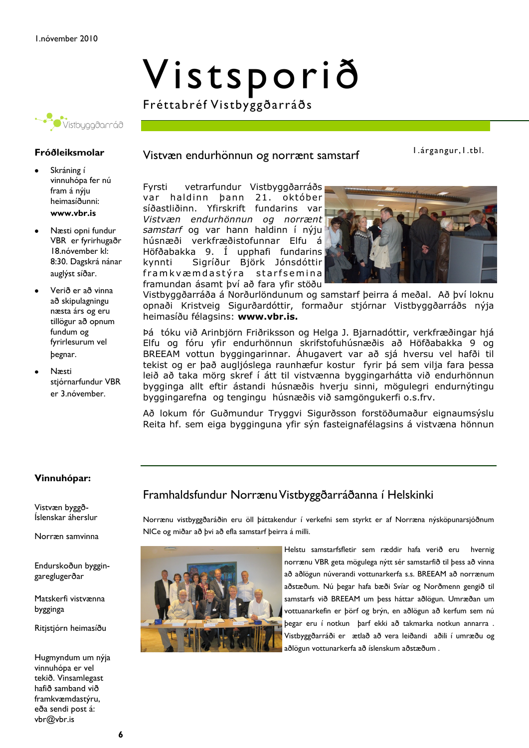# Vistsporið Fréttabréf Vistbyggðarráðs



#### Vistvæn endurhönnun og norrænt samstarf

1.árgangur,1.tbl.

Skráning í vinnuhópa fer nú fram á nýju heimasíðunni: **www.vbr.is**

**Fróðleiksmolar**

- Næsti opni fundur VBR er fyrirhugaðr 18.nóvember kl: 8:30. Dagskrá nánar auglýst síðar.
- Verið er að vinna að skipulagningu næsta árs og eru tillögur að opnum fundum og fyrirlesurum vel þegnar.
- Næsti stjórnarfundur VBR er 3.nóvember.

Fyrsti vetrarfundur Vistbyggðarráðs var haldinn þann 21. október síðastliðinn. Yfirskrift fundarins var *Vistvæn endurhönnun og norrænt samstarf* og var hann haldinn í nýju húsnæði verkfræðistofunnar Elfu á Höfðabakka 9. Í upphafi fundarins kynnti Sigríður Björk Jónsdóttir fram kvæm dastýra starfsemina framundan ásamt því að fara yfir stöðu



Vistbyggðarráða á Norðurlöndunum og samstarf þeirra á meðal. Að því loknu opnaði Kristveig Sigurðardóttir, formaður stjórnar Vistbyggðarráðs nýja heimasíðu félagsins: **www.vbr.is.**

Þá tóku við Arinbjörn Friðriksson og Helga J. Bjarnadóttir, verkfræðingar hjá Elfu og fóru yfir endurhönnun skrifstofuhúsnæðis að Höfðabakka 9 og BREEAM vottun byggingarinnar. Áhugavert var að sjá hversu vel hafði til tekist og er það augljóslega raunhæfur kostur fyrir þá sem vilja fara þessa leið að taka mörg skref í átt til vistvænna byggingarhátta við endurhönnun bygginga allt eftir ástandi húsnæðis hverju sinni, mögulegri endurnýtingu byggingarefna og tengingu húsnæðis við samgöngukerfi o.s.frv.

Að lokum fór Guðmundur Tryggvi Sigurðsson forstöðumaður eignaumsýslu Reita hf. sem eiga bygginguna yfir sýn fasteignafélagsins á vistvæna hönnun

#### **Vinnuhópar:**

Vistvæn byggð-Íslenskar áherslur

Norræn samvinna

Endurskoðun byggingareglugerðar

Matskerfi vistvænna bygginga

Ritjstjórn heimasíðu

Hugmyndum um nýja vinnuhópa er vel tekið. Vinsamlegast hafið samband við framkvæmdastýru, eða sendi post á: vbr@vbr.is

# Framhaldsfundur Norrænu Vistbyggðarráðanna í Helskinki

Norrænu vistbyggðaráðin eru öll þáttakendur í verkefni sem styrkt er af Norræna nýsköpunarsjóðnum NICe og miðar að þvi að efla samstarf þeirra á milli.



Helstu samstarfsfletir sem ræddir hafa verið eru hvernig norrænu VBR geta mögulega nýtt sér samstarfið til þess að vinna að aðlögun núverandi vottunarkerfa s.s. BREEAM að norrænum aðstæðum. Nú þegar hafa bæði Svíar og Norðmenn gengið til samstarfs við BREEAM um þess háttar aðlögun. Umræðan um vottuanarkefin er þörf og brýn, en aðlögun að kerfum sem nú þegar eru í notkun þarf ekki að takmarka notkun annarra . Vistbyggðarráði er ætlað að vera leiðandi aðili í umræðu og aðlögun vottunarkerfa að íslenskum aðstæðum .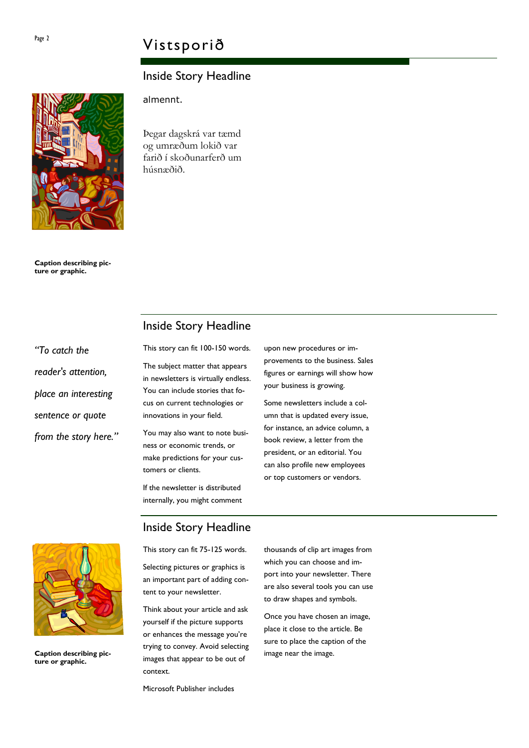# Inside Story Headline



almennt.

Þegar dagskrá var tæmd og umræðum lokið var farið í skoðunarferð um húsnæðið.

**Caption describing picture or graphic.**

*"To catch the reader's attention, place an interesting sentence or quote from the story here."*

# Inside Story Headline

This story can fit 100-150 words. The subject matter that appears in newsletters is virtually endless. You can include stories that focus on current technologies or innovations in your field.

You may also want to note business or economic trends, or make predictions for your customers or clients.

If the newsletter is distributed internally, you might comment

upon new procedures or improvements to the business. Sales figures or earnings will show how your business is growing.

Some newsletters include a column that is updated every issue, for instance, an advice column, a book review, a letter from the president, or an editorial. You can also profile new employees or top customers or vendors.



**Caption describing picture or graphic.**

#### Inside Story Headline

This story can fit 75-125 words.

Selecting pictures or graphics is an important part of adding content to your newsletter.

Think about your article and ask yourself if the picture supports or enhances the message you're trying to convey. Avoid selecting images that appear to be out of context.

thousands of clip art images from which you can choose and import into your newsletter. There are also several tools you can use to draw shapes and symbols.

Once you have chosen an image, place it close to the article. Be sure to place the caption of the image near the image.

Microsoft Publisher includes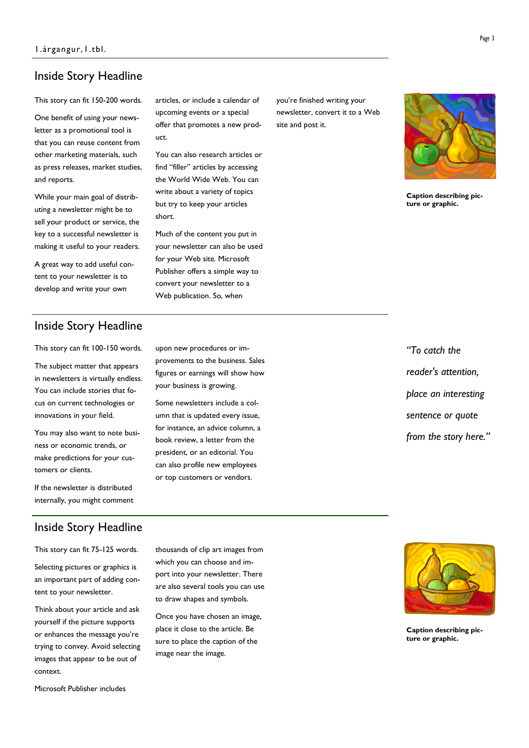### Inside Story Headline

This story can fit 150-200 words.

One benefit of using your newsletter as a promotional tool is that you can reuse content from other marketing materials, such as press releases, market studies, and reports.

While your main goal of distributing a newsletter might be to sell your product or service, the key to a successful newsletter is making it useful to your readers.

A great way to add useful content to your newsletter is to develop and write your own

## Inside Story Headline

This story can fit 100-150 words.

The subject matter that appears in newsletters is virtually endless. You can include stories that focus on current technologies or innovations in your field.

You may also want to note business or economic trends, or make predictions for your customers or clients.

If the newsletter is distributed internally, you might comment

#### Inside Story Headline

This story can fit 75-125 words.

Selecting pictures or graphics is an important part of adding content to your newsletter.

Think about your article and ask yourself if the picture supports or enhances the message you're trying to convey. Avoid selecting images that appear to be out of context.

thousands of clip art images from which you can choose and import into your newsletter. There are also several tools you can use to draw shapes and symbols.

Once you have chosen an image, place it close to the article. Be sure to place the caption of the image near the image.

you're finished writing your newsletter, convert it to a Web site and post it.



**Caption describing picture or graphic.**

*"To catch the reader's attention, place an interesting sentence or quote from the story here."*



**Caption describing picture or graphic.**

Microsoft Publisher includes

upon new procedures or improvements to the business. Sales figures or earnings will show how your business is growing.

articles, or include a calendar of upcoming events or a special offer that promotes a new prod-

You can also research articles or find "filler" articles by accessing the World Wide Web. You can write about a variety of topics but try to keep your articles

Much of the content you put in your newsletter can also be used for your Web site. Microsoft Publisher offers a simple way to convert your newsletter to a Web publication. So, when

uct.

short.

Some newsletters include a column that is updated every issue, for instance, an advice column, a book review, a letter from the president, or an editorial. You can also profile new employees or top customers or vendors.